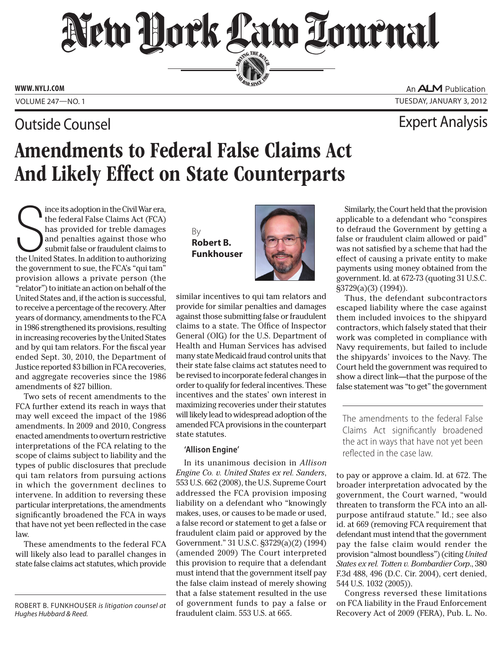# New Hork Law Lournal SERVING THE BEA

**PERSONAL SINCE 1888** 

**www. NYLJ.com**

### Outside Counsel Expert Analysis

An **ALM** Publication Volume 247—NO. 1 Tuesday, January 3, 2012

## Amendments to Federal False Claims Act And Likely Effect on State Counterparts

Ince its adoption in the Civil War era,<br>the federal False Claims Act (FCA)<br>has provided for treble damages<br>and penalties against those who<br>submit false or fraudulent claims to<br>the United States. In addition to authorizing ince its adoption in the Civil War era, the federal False Claims Act (FCA) has provided for treble damages and penalties against those who submit false or fraudulent claims to the government to sue, the FCA's "qui tam" provision allows a private person (the "relator") to initiate an action on behalf of the United States and, if the action is successful, to receive a percentage of the recovery. After years of dormancy, amendments to the FCA in 1986 strengthened its provisions, resulting in increasing recoveries by the United States and by qui tam relators. For the fiscal year ended Sept. 30, 2010, the Department of Justice reported \$3 billion in FCA recoveries, and aggregate recoveries since the 1986 amendments of \$27 billion.

Two sets of recent amendments to the FCA further extend its reach in ways that may well exceed the impact of the 1986 amendments. In 2009 and 2010, Congress enacted amendments to overturn restrictive interpretations of the FCA relating to the scope of claims subject to liability and the types of public disclosures that preclude qui tam relators from pursuing actions in which the government declines to intervene. In addition to reversing these particular interpretations, the amendments significantly broadened the FCA in ways that have not yet been reflected in the case law.

These amendments to the federal FCA will likely also lead to parallel changes in state false claims act statutes, which provide

By **Robert B. Funkhouser**



similar incentives to qui tam relators and provide for similar penalties and damages against those submitting false or fraudulent claims to a state. The Office of Inspector General (OIG) for the U.S. Department of Health and Human Services has advised many state Medicaid fraud control units that their state false claims act statutes need to be revised to incorporate federal changes in order to qualify for federal incentives. These incentives and the states' own interest in maximizing recoveries under their statutes will likely lead to widespread adoption of the amended FCA provisions in the counterpart state statutes.

### **'Allison Engine'**

In its unanimous decision in *Allison Engine Co. v. United States ex rel. Sanders*, 553 U.S. 662 (2008), the U.S. Supreme Court addressed the FCA provision imposing liability on a defendant who "knowingly makes, uses, or causes to be made or used, a false record or statement to get a false or fraudulent claim paid or approved by the Government." 31 U.S.C. §3729(a)(2) (1994) (amended 2009) The Court interpreted this provision to require that a defendant must intend that the government itself pay the false claim instead of merely showing that a false statement resulted in the use of government funds to pay a false or fraudulent claim. 553 U.S. at 665.

Similarly, the Court held that the provision applicable to a defendant who "conspires to defraud the Government by getting a false or fraudulent claim allowed or paid" was not satisfied by a scheme that had the effect of causing a private entity to make payments using money obtained from the government. Id. at 672-73 (quoting 31 U.S.C. §3729(a)(3) (1994)).

Thus, the defendant subcontractors escaped liability where the case against them included invoices to the shipyard contractors, which falsely stated that their work was completed in compliance with Navy requirements, but failed to include the shipyards' invoices to the Navy. The Court held the government was required to show a direct link—that the purpose of the false statement was "to get" the government

The amendments to the federal False Claims Act significantly broadened the act in ways that have not yet been reflected in the case law.

to pay or approve a claim. Id. at 672. The broader interpretation advocated by the government, the Court warned, "would threaten to transform the FCA into an allpurpose antifraud statute." Id.; see also id. at 669 (removing FCA requirement that defendant must intend that the government pay the false claim would render the provision "almost boundless") (citing *United States ex rel. Totten v. Bombardier Corp*., 380 F.3d 488, 496 (D.C. Cir. 2004), cert denied, 544 U.S. 1032 (2005)).

Congress reversed these limitations on FCA liability in the Fraud Enforcement Recovery Act of 2009 (FERA), Pub. L. No.

Robert B. Funkhouser *is litigation counsel at Hughes Hubbard & Reed.*